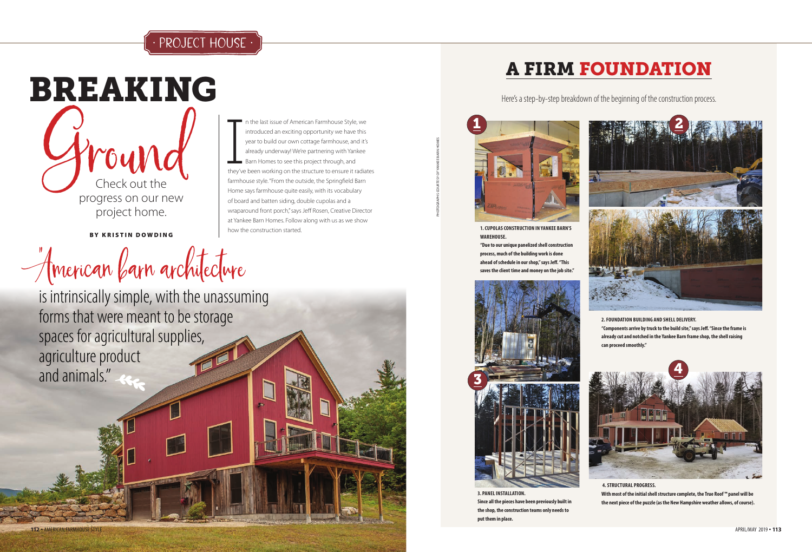## PROJECT HOUSE



BY KRISTIN DOWDING

American farn architecture

n the last issue of American Farmhouse Style, we introduced an exciting opportunity we have this year to build our own cottage farmhouse, and it's already underway! We're partnering with Yankee Barn Homes to see this project through, and they've been working on the structure to ensure it radiates farmhouse style. "From the outside, the Springfield Barn Home says farmhouse quite easily, with its vocabulary of board and batten siding, double cupolas and a

wraparound front porch," says Jeff Rosen, Creative Director at Yankee Barn Homes. Follow along with us as we show

how the construction started.

is intrinsically simple, with the unassuming forms that were meant to be storage spaces for agricultural supplies, agriculture product and animals."



Here's a step-by-step breakdown of the beginning of the construction process.

PHOTOGRAPHS COURTESY OF YANKEE BARN HOMES



**1. CUPOLAS CONSTRUCTION IN YANKEE BARN'S WAREHOUSE.**

**"Due to our unique panelized shell construction process, much of the building work is done ahead of schedule in our shop," says Jeff. "This saves the client time and money on the job site."**

> **2. FOUNDATION BUILDING AND SHELL DELIVERY. "Components arrive by truck to the build site," says Jeff. "Since the frame is already cut and notched in the Yankee Barn frame shop, the shell raising**



**3. PANEL INSTALLATION. Since all the pieces have been previously built in the shop, the construction teams only needs to put them in place.** 



 **4. STRUCTURAL PROGRESS.**

**With most of the initial shell structure complete, the True Roof ™ panel will be** 

**the next piece of the puzzle (as the New Hampshire weather allows, of course).**